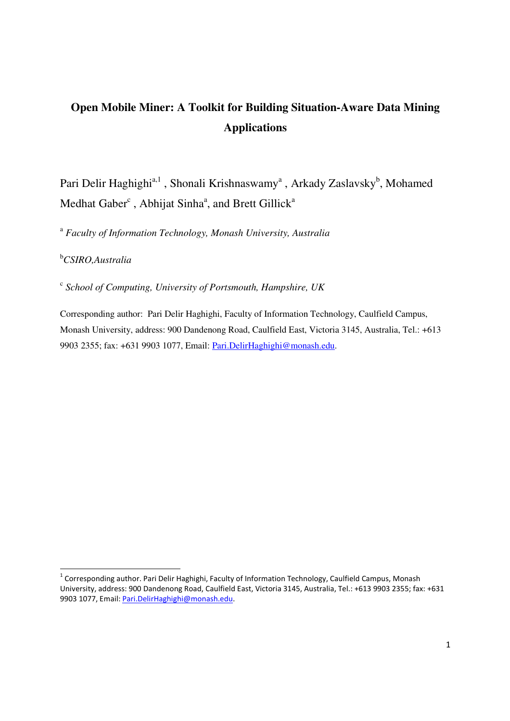# **Open Mobile Miner: A Toolkit for Building Situation-Aware Data Mining Applications**

Pari Delir Haghighi<sup>a, 1</sup>, Shonali Krishnaswamy<sup>a</sup>, Arkady Zaslavsky<sup>b</sup>, Mohamed Medhat Gaber<sup>c</sup>, Abhijat Sinha<sup>a</sup>, and Brett Gillick<sup>a</sup>

<sup>a</sup> Faculty of Information Technology, Monash University, Australia

## <sup>b</sup>*CSIRO,Australia*

<u>.</u>

c  *School of Computing, University of Portsmouth, Hampshire, UK* 

Corresponding author: Pari Delir Haghighi, Faculty of Information Technology, Caulfield Campus, Monash University, address: 900 Dandenong Road, Caulfield East, Victoria 3145, Australia, Tel.: +613 9903 2355; fax: +631 9903 1077, Email: Pari.DelirHaghighi@monash.edu.

<sup>&</sup>lt;sup>1</sup> Corresponding author. Pari Delir Haghighi, Faculty of Information Technology, Caulfield Campus, Monash University, address: 900 Dandenong Road, Caulfield East, Victoria 3145, Australia, Tel.: +613 9903 2355; fax: +631 9903 1077, Email: Pari.DelirHaghighi@monash.edu.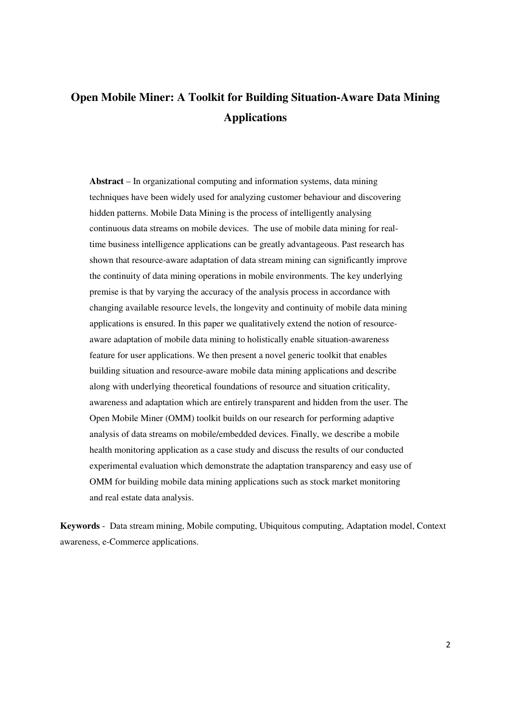# **Open Mobile Miner: A Toolkit for Building Situation-Aware Data Mining Applications**

**Abstract** – In organizational computing and information systems, data mining techniques have been widely used for analyzing customer behaviour and discovering hidden patterns. Mobile Data Mining is the process of intelligently analysing continuous data streams on mobile devices. The use of mobile data mining for realtime business intelligence applications can be greatly advantageous. Past research has shown that resource-aware adaptation of data stream mining can significantly improve the continuity of data mining operations in mobile environments. The key underlying premise is that by varying the accuracy of the analysis process in accordance with changing available resource levels, the longevity and continuity of mobile data mining applications is ensured. In this paper we qualitatively extend the notion of resourceaware adaptation of mobile data mining to holistically enable situation-awareness feature for user applications. We then present a novel generic toolkit that enables building situation and resource-aware mobile data mining applications and describe along with underlying theoretical foundations of resource and situation criticality, awareness and adaptation which are entirely transparent and hidden from the user. The Open Mobile Miner (OMM) toolkit builds on our research for performing adaptive analysis of data streams on mobile/embedded devices. Finally, we describe a mobile health monitoring application as a case study and discuss the results of our conducted experimental evaluation which demonstrate the adaptation transparency and easy use of OMM for building mobile data mining applications such as stock market monitoring and real estate data analysis.

**Keywords** - Data stream mining, Mobile computing, Ubiquitous computing, Adaptation model, Context awareness, e-Commerce applications.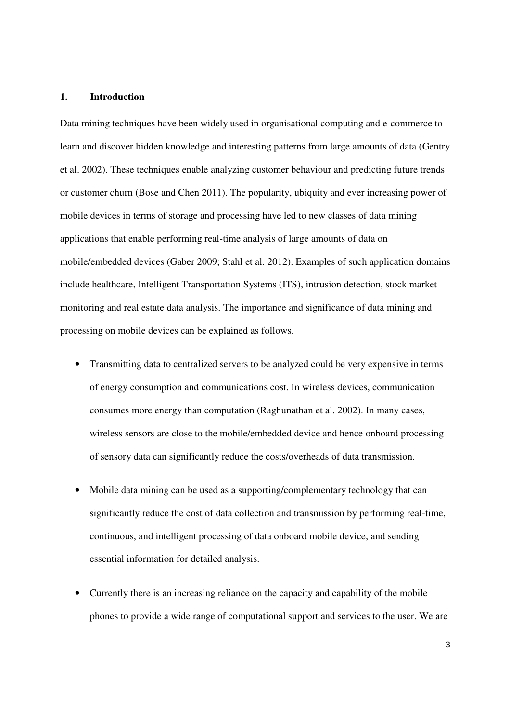#### **1. Introduction**

Data mining techniques have been widely used in organisational computing and e-commerce to learn and discover hidden knowledge and interesting patterns from large amounts of data (Gentry et al. 2002). These techniques enable analyzing customer behaviour and predicting future trends or customer churn (Bose and Chen 2011). The popularity, ubiquity and ever increasing power of mobile devices in terms of storage and processing have led to new classes of data mining applications that enable performing real-time analysis of large amounts of data on mobile/embedded devices (Gaber 2009; Stahl et al. 2012). Examples of such application domains include healthcare, Intelligent Transportation Systems (ITS), intrusion detection, stock market monitoring and real estate data analysis. The importance and significance of data mining and processing on mobile devices can be explained as follows.

- Transmitting data to centralized servers to be analyzed could be very expensive in terms of energy consumption and communications cost. In wireless devices, communication consumes more energy than computation (Raghunathan et al. 2002). In many cases, wireless sensors are close to the mobile/embedded device and hence onboard processing of sensory data can significantly reduce the costs/overheads of data transmission.
- Mobile data mining can be used as a supporting/complementary technology that can significantly reduce the cost of data collection and transmission by performing real-time, continuous, and intelligent processing of data onboard mobile device, and sending essential information for detailed analysis.
- Currently there is an increasing reliance on the capacity and capability of the mobile phones to provide a wide range of computational support and services to the user. We are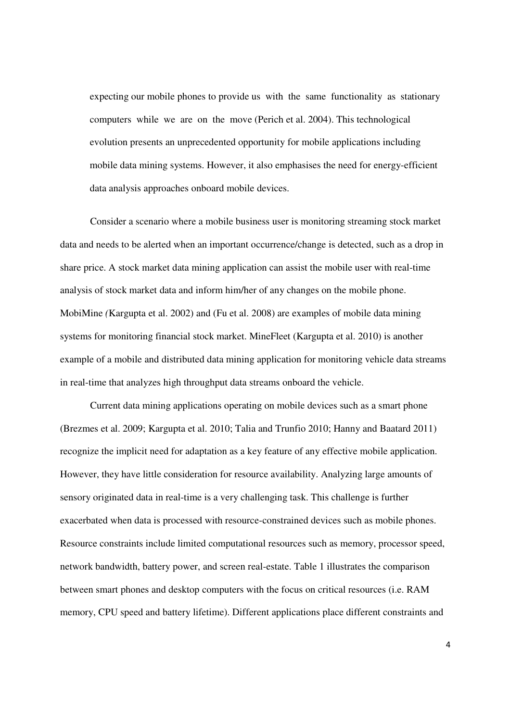expecting our mobile phones to provide us with the same functionality as stationary computers while we are on the move (Perich et al. 2004). This technological evolution presents an unprecedented opportunity for mobile applications including mobile data mining systems. However, it also emphasises the need for energy-efficient data analysis approaches onboard mobile devices.

Consider a scenario where a mobile business user is monitoring streaming stock market data and needs to be alerted when an important occurrence/change is detected, such as a drop in share price. A stock market data mining application can assist the mobile user with real-time analysis of stock market data and inform him/her of any changes on the mobile phone. MobiMine *(*Kargupta et al. 2002) and (Fu et al. 2008) are examples of mobile data mining systems for monitoring financial stock market. MineFleet (Kargupta et al. 2010) is another example of a mobile and distributed data mining application for monitoring vehicle data streams in real-time that analyzes high throughput data streams onboard the vehicle.

Current data mining applications operating on mobile devices such as a smart phone (Brezmes et al. 2009; Kargupta et al. 2010; Talia and Trunfio 2010; Hanny and Baatard 2011) recognize the implicit need for adaptation as a key feature of any effective mobile application. However, they have little consideration for resource availability. Analyzing large amounts of sensory originated data in real-time is a very challenging task. This challenge is further exacerbated when data is processed with resource-constrained devices such as mobile phones. Resource constraints include limited computational resources such as memory, processor speed, network bandwidth, battery power, and screen real-estate. Table 1 illustrates the comparison between smart phones and desktop computers with the focus on critical resources (i.e. RAM memory, CPU speed and battery lifetime). Different applications place different constraints and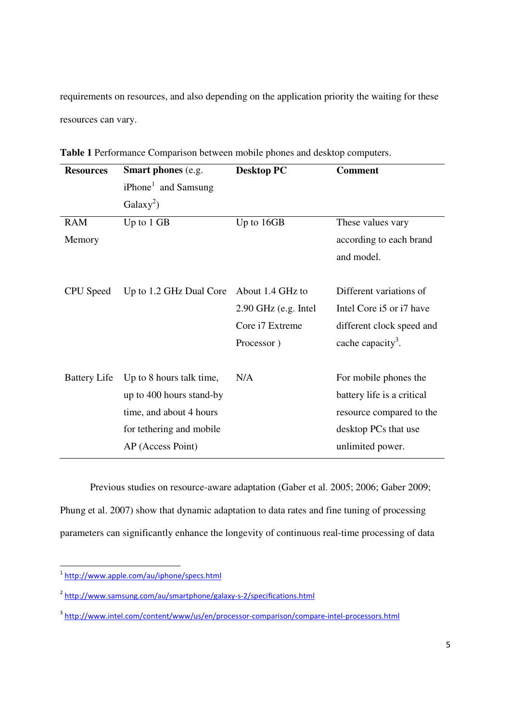requirements on resources, and also depending on the application priority the waiting for these resources can vary.

| <b>Resources</b>    | <b>Smart phones</b> (e.g.       | <b>Desktop PC</b>      | <b>Comment</b>                |
|---------------------|---------------------------------|------------------------|-------------------------------|
|                     | iPhone <sup>1</sup> and Samsung |                        |                               |
|                     | $Galaxy^2)$                     |                        |                               |
| <b>RAM</b>          | Up to $1$ GB                    | Up to 16GB             | These values vary             |
| Memory              |                                 |                        | according to each brand       |
|                     |                                 |                        | and model.                    |
|                     |                                 |                        |                               |
| CPU Speed           | Up to 1.2 GHz Dual Core         | About 1.4 GHz to       | Different variations of       |
|                     |                                 | $2.90$ GHz (e.g. Intel | Intel Core i5 or i7 have      |
|                     |                                 | Core i7 Extreme        | different clock speed and     |
|                     |                                 | Processor)             | cache capacity <sup>3</sup> . |
|                     |                                 |                        |                               |
| <b>Battery Life</b> | Up to 8 hours talk time,        | N/A                    | For mobile phones the         |
|                     | up to 400 hours stand-by        |                        | battery life is a critical    |
|                     | time, and about 4 hours         |                        | resource compared to the      |
|                     | for tethering and mobile        |                        | desktop PCs that use          |
|                     | AP (Access Point)               |                        | unlimited power.              |
|                     |                                 |                        |                               |

**Table 1** Performance Comparison between mobile phones and desktop computers.

Previous studies on resource-aware adaptation (Gaber et al. 2005; 2006; Gaber 2009; Phung et al. 2007) show that dynamic adaptation to data rates and fine tuning of processing parameters can significantly enhance the longevity of continuous real-time processing of data

<u>.</u>

<sup>&</sup>lt;sup>1</sup> http://www.apple.com/au/iphone/specs.html

<sup>&</sup>lt;sup>2</sup> http://www.samsung.com/au/smartphone/galaxy-s-2/specifications.html

<sup>&</sup>lt;sup>3</sup> http://www.intel.com/content/www/us/en/processor-comparison/compare-intel-processors.html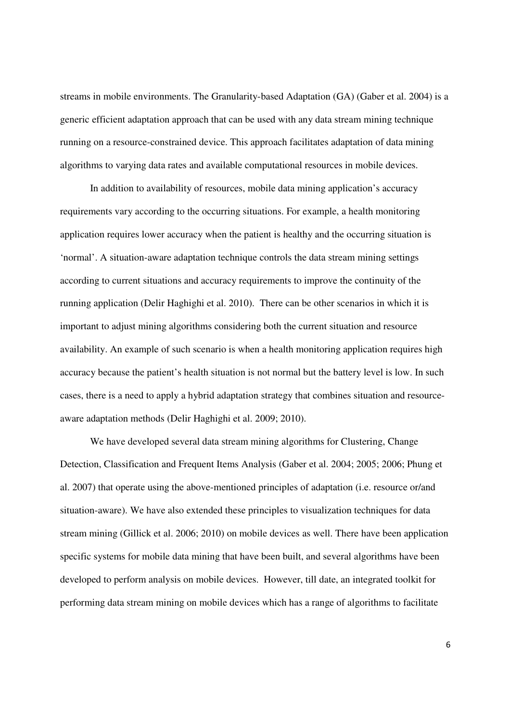streams in mobile environments. The Granularity-based Adaptation (GA) (Gaber et al. 2004) is a generic efficient adaptation approach that can be used with any data stream mining technique running on a resource-constrained device. This approach facilitates adaptation of data mining algorithms to varying data rates and available computational resources in mobile devices.

In addition to availability of resources, mobile data mining application's accuracy requirements vary according to the occurring situations. For example, a health monitoring application requires lower accuracy when the patient is healthy and the occurring situation is 'normal'. A situation-aware adaptation technique controls the data stream mining settings according to current situations and accuracy requirements to improve the continuity of the running application (Delir Haghighi et al. 2010). There can be other scenarios in which it is important to adjust mining algorithms considering both the current situation and resource availability. An example of such scenario is when a health monitoring application requires high accuracy because the patient's health situation is not normal but the battery level is low. In such cases, there is a need to apply a hybrid adaptation strategy that combines situation and resourceaware adaptation methods (Delir Haghighi et al. 2009; 2010).

We have developed several data stream mining algorithms for Clustering, Change Detection, Classification and Frequent Items Analysis (Gaber et al. 2004; 2005; 2006; Phung et al. 2007) that operate using the above-mentioned principles of adaptation (i.e. resource or/and situation-aware). We have also extended these principles to visualization techniques for data stream mining (Gillick et al. 2006; 2010) on mobile devices as well. There have been application specific systems for mobile data mining that have been built, and several algorithms have been developed to perform analysis on mobile devices. However, till date, an integrated toolkit for performing data stream mining on mobile devices which has a range of algorithms to facilitate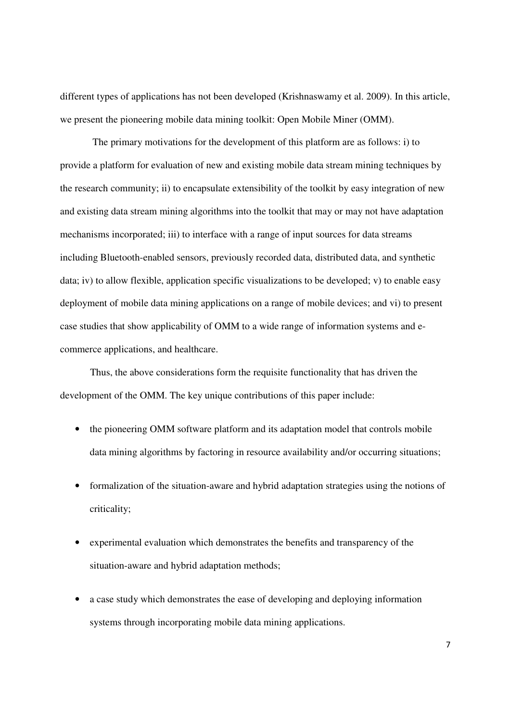different types of applications has not been developed (Krishnaswamy et al. 2009). In this article, we present the pioneering mobile data mining toolkit: Open Mobile Miner (OMM).

 The primary motivations for the development of this platform are as follows: i) to provide a platform for evaluation of new and existing mobile data stream mining techniques by the research community; ii) to encapsulate extensibility of the toolkit by easy integration of new and existing data stream mining algorithms into the toolkit that may or may not have adaptation mechanisms incorporated; iii) to interface with a range of input sources for data streams including Bluetooth-enabled sensors, previously recorded data, distributed data, and synthetic data; iv) to allow flexible, application specific visualizations to be developed; v) to enable easy deployment of mobile data mining applications on a range of mobile devices; and vi) to present case studies that show applicability of OMM to a wide range of information systems and ecommerce applications, and healthcare.

Thus, the above considerations form the requisite functionality that has driven the development of the OMM. The key unique contributions of this paper include:

- the pioneering OMM software platform and its adaptation model that controls mobile data mining algorithms by factoring in resource availability and/or occurring situations;
- formalization of the situation-aware and hybrid adaptation strategies using the notions of criticality;
- experimental evaluation which demonstrates the benefits and transparency of the situation-aware and hybrid adaptation methods;
- a case study which demonstrates the ease of developing and deploying information systems through incorporating mobile data mining applications.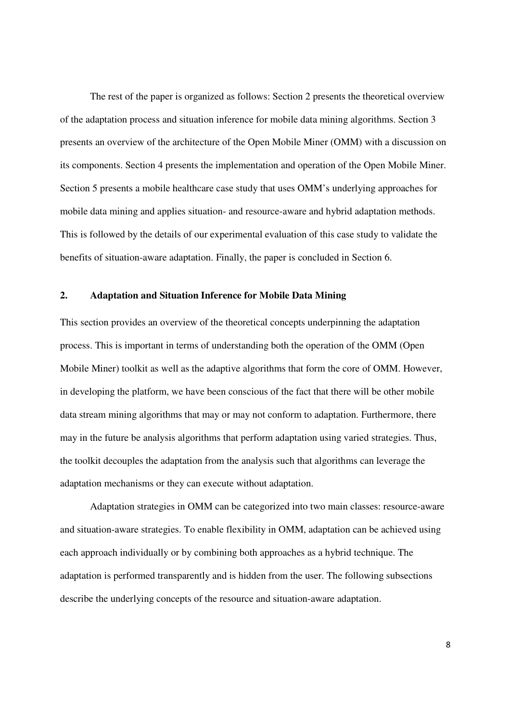The rest of the paper is organized as follows: Section 2 presents the theoretical overview of the adaptation process and situation inference for mobile data mining algorithms. Section 3 presents an overview of the architecture of the Open Mobile Miner (OMM) with a discussion on its components. Section 4 presents the implementation and operation of the Open Mobile Miner. Section 5 presents a mobile healthcare case study that uses OMM's underlying approaches for mobile data mining and applies situation- and resource-aware and hybrid adaptation methods. This is followed by the details of our experimental evaluation of this case study to validate the benefits of situation-aware adaptation. Finally, the paper is concluded in Section 6.

#### **2. Adaptation and Situation Inference for Mobile Data Mining**

This section provides an overview of the theoretical concepts underpinning the adaptation process. This is important in terms of understanding both the operation of the OMM (Open Mobile Miner) toolkit as well as the adaptive algorithms that form the core of OMM. However, in developing the platform, we have been conscious of the fact that there will be other mobile data stream mining algorithms that may or may not conform to adaptation. Furthermore, there may in the future be analysis algorithms that perform adaptation using varied strategies. Thus, the toolkit decouples the adaptation from the analysis such that algorithms can leverage the adaptation mechanisms or they can execute without adaptation.

Adaptation strategies in OMM can be categorized into two main classes: resource-aware and situation-aware strategies. To enable flexibility in OMM, adaptation can be achieved using each approach individually or by combining both approaches as a hybrid technique. The adaptation is performed transparently and is hidden from the user. The following subsections describe the underlying concepts of the resource and situation-aware adaptation.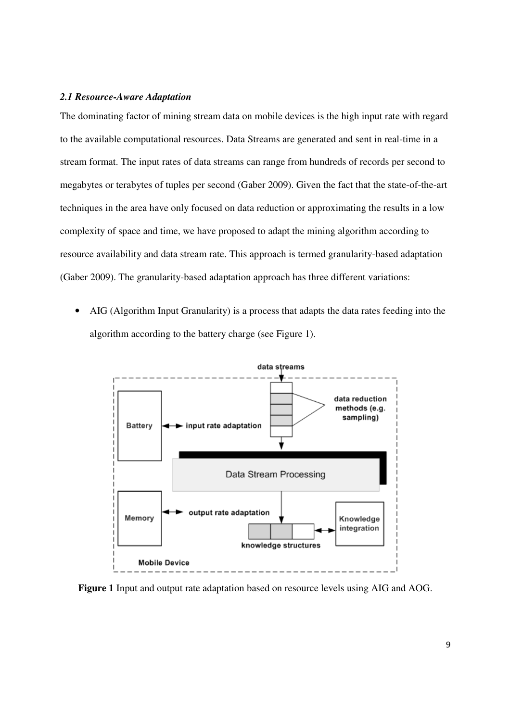#### *2.1 Resource-Aware Adaptation*

The dominating factor of mining stream data on mobile devices is the high input rate with regard to the available computational resources. Data Streams are generated and sent in real-time in a stream format. The input rates of data streams can range from hundreds of records per second to megabytes or terabytes of tuples per second (Gaber 2009). Given the fact that the state-of-the-art techniques in the area have only focused on data reduction or approximating the results in a low complexity of space and time, we have proposed to adapt the mining algorithm according to resource availability and data stream rate. This approach is termed granularity-based adaptation (Gaber 2009). The granularity-based adaptation approach has three different variations:

• AIG (Algorithm Input Granularity) is a process that adapts the data rates feeding into the algorithm according to the battery charge (see Figure 1).



**Figure 1** Input and output rate adaptation based on resource levels using AIG and AOG.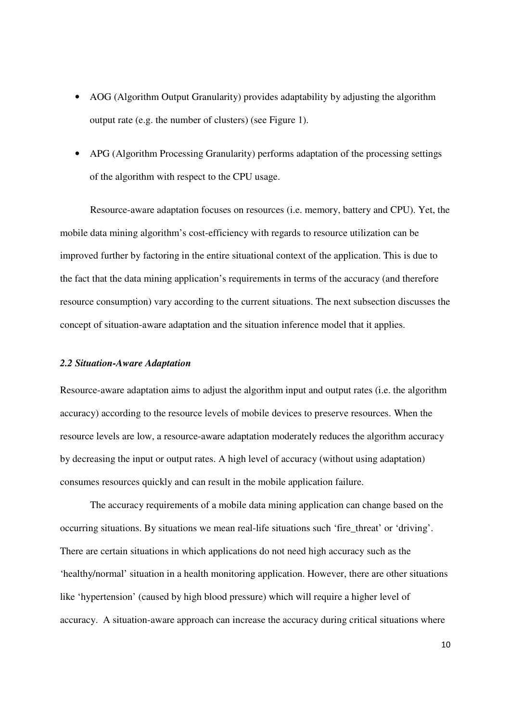- AOG (Algorithm Output Granularity) provides adaptability by adjusting the algorithm output rate (e.g. the number of clusters) (see Figure 1).
- APG (Algorithm Processing Granularity) performs adaptation of the processing settings of the algorithm with respect to the CPU usage.

Resource-aware adaptation focuses on resources (i.e. memory, battery and CPU). Yet, the mobile data mining algorithm's cost-efficiency with regards to resource utilization can be improved further by factoring in the entire situational context of the application. This is due to the fact that the data mining application's requirements in terms of the accuracy (and therefore resource consumption) vary according to the current situations. The next subsection discusses the concept of situation-aware adaptation and the situation inference model that it applies.

#### *2.2 Situation-Aware Adaptation*

Resource-aware adaptation aims to adjust the algorithm input and output rates (i.e. the algorithm accuracy) according to the resource levels of mobile devices to preserve resources. When the resource levels are low, a resource-aware adaptation moderately reduces the algorithm accuracy by decreasing the input or output rates. A high level of accuracy (without using adaptation) consumes resources quickly and can result in the mobile application failure.

The accuracy requirements of a mobile data mining application can change based on the occurring situations. By situations we mean real-life situations such 'fire\_threat' or 'driving'. There are certain situations in which applications do not need high accuracy such as the 'healthy/normal' situation in a health monitoring application. However, there are other situations like 'hypertension' (caused by high blood pressure) which will require a higher level of accuracy. A situation-aware approach can increase the accuracy during critical situations where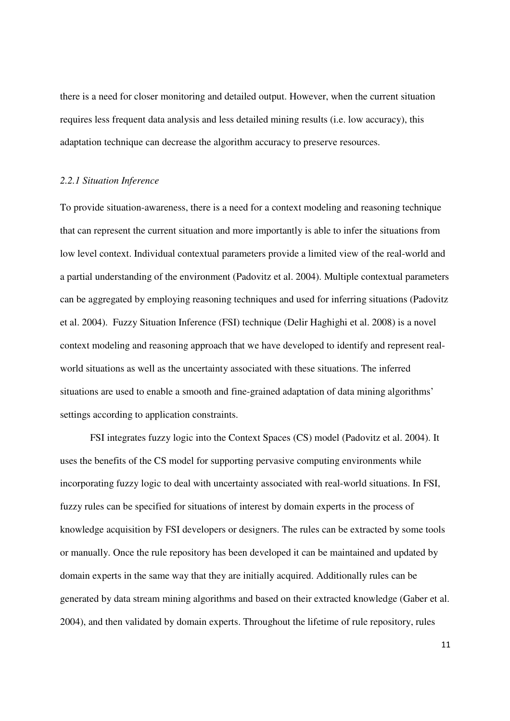there is a need for closer monitoring and detailed output. However, when the current situation requires less frequent data analysis and less detailed mining results (i.e. low accuracy), this adaptation technique can decrease the algorithm accuracy to preserve resources.

#### *2.2.1 Situation Inference*

To provide situation-awareness, there is a need for a context modeling and reasoning technique that can represent the current situation and more importantly is able to infer the situations from low level context. Individual contextual parameters provide a limited view of the real-world and a partial understanding of the environment (Padovitz et al. 2004). Multiple contextual parameters can be aggregated by employing reasoning techniques and used for inferring situations (Padovitz et al. 2004). Fuzzy Situation Inference (FSI) technique (Delir Haghighi et al. 2008) is a novel context modeling and reasoning approach that we have developed to identify and represent realworld situations as well as the uncertainty associated with these situations. The inferred situations are used to enable a smooth and fine-grained adaptation of data mining algorithms' settings according to application constraints.

FSI integrates fuzzy logic into the Context Spaces (CS) model (Padovitz et al. 2004). It uses the benefits of the CS model for supporting pervasive computing environments while incorporating fuzzy logic to deal with uncertainty associated with real-world situations. In FSI, fuzzy rules can be specified for situations of interest by domain experts in the process of knowledge acquisition by FSI developers or designers. The rules can be extracted by some tools or manually. Once the rule repository has been developed it can be maintained and updated by domain experts in the same way that they are initially acquired. Additionally rules can be generated by data stream mining algorithms and based on their extracted knowledge (Gaber et al. 2004), and then validated by domain experts. Throughout the lifetime of rule repository, rules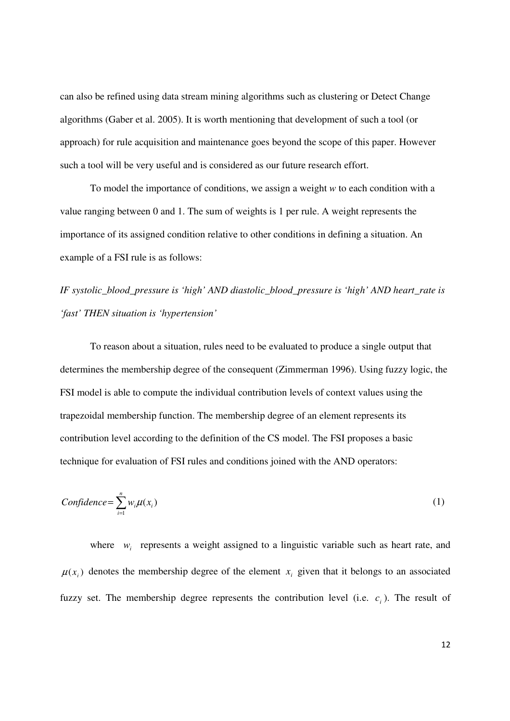can also be refined using data stream mining algorithms such as clustering or Detect Change algorithms (Gaber et al. 2005). It is worth mentioning that development of such a tool (or approach) for rule acquisition and maintenance goes beyond the scope of this paper. However such a tool will be very useful and is considered as our future research effort.

To model the importance of conditions, we assign a weight *w* to each condition with a value ranging between 0 and 1. The sum of weights is 1 per rule. A weight represents the importance of its assigned condition relative to other conditions in defining a situation. An example of a FSI rule is as follows:

*IF systolic\_blood\_pressure is 'high' AND diastolic\_blood\_pressure is 'high' AND heart\_rate is 'fast' THEN situation is 'hypertension'* 

To reason about a situation, rules need to be evaluated to produce a single output that determines the membership degree of the consequent (Zimmerman 1996). Using fuzzy logic, the FSI model is able to compute the individual contribution levels of context values using the trapezoidal membership function. The membership degree of an element represents its contribution level according to the definition of the CS model. The FSI proposes a basic technique for evaluation of FSI rules and conditions joined with the AND operators:

$$
Confidence = \sum_{i=1}^{n} w_i \mu(x_i)
$$
 (1)

where  $w_i$  represents a weight assigned to a linguistic variable such as heart rate, and  $\mu(x_i)$  denotes the membership degree of the element  $x_i$  given that it belongs to an associated fuzzy set. The membership degree represents the contribution level (i.e.  $c_i$ ). The result of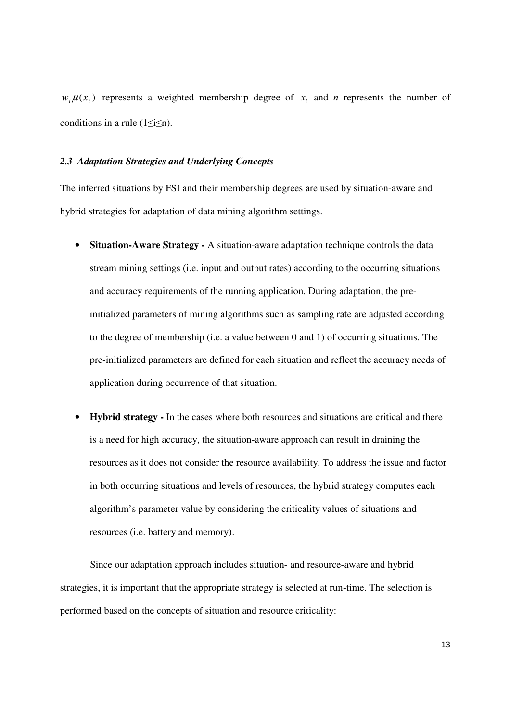$w_i \mu(x_i)$  represents a weighted membership degree of  $x_i$  and *n* represents the number of conditions in a rule  $(1 \le i \le n)$ .

#### *2.3 Adaptation Strategies and Underlying Concepts*

The inferred situations by FSI and their membership degrees are used by situation-aware and hybrid strategies for adaptation of data mining algorithm settings.

- **Situation-Aware Strategy** A situation-aware adaptation technique controls the data stream mining settings (i.e. input and output rates) according to the occurring situations and accuracy requirements of the running application. During adaptation, the preinitialized parameters of mining algorithms such as sampling rate are adjusted according to the degree of membership (i.e. a value between 0 and 1) of occurring situations. The pre-initialized parameters are defined for each situation and reflect the accuracy needs of application during occurrence of that situation.
- **Hybrid strategy** In the cases where both resources and situations are critical and there is a need for high accuracy, the situation-aware approach can result in draining the resources as it does not consider the resource availability. To address the issue and factor in both occurring situations and levels of resources, the hybrid strategy computes each algorithm's parameter value by considering the criticality values of situations and resources (i.e. battery and memory).

Since our adaptation approach includes situation- and resource-aware and hybrid strategies, it is important that the appropriate strategy is selected at run-time. The selection is performed based on the concepts of situation and resource criticality: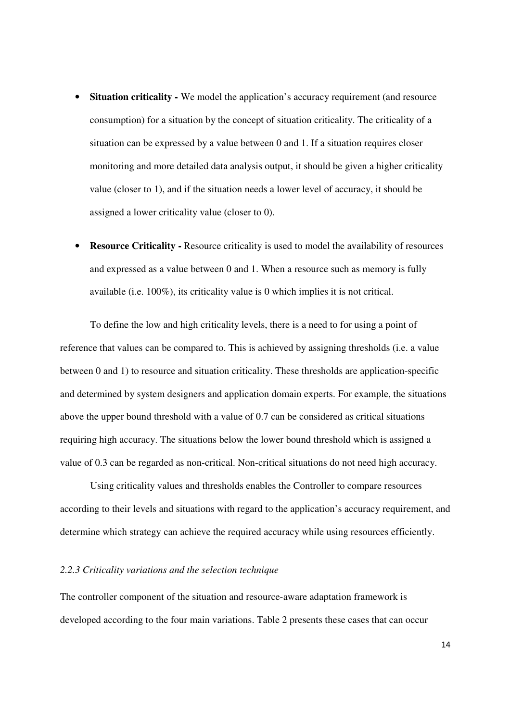- **Situation criticality** We model the application's accuracy requirement (and resource consumption) for a situation by the concept of situation criticality. The criticality of a situation can be expressed by a value between 0 and 1. If a situation requires closer monitoring and more detailed data analysis output, it should be given a higher criticality value (closer to 1), and if the situation needs a lower level of accuracy, it should be assigned a lower criticality value (closer to 0).
- **Resource Criticality Resource criticality is used to model the availability of resources** and expressed as a value between 0 and 1. When a resource such as memory is fully available (i.e. 100%), its criticality value is 0 which implies it is not critical.

To define the low and high criticality levels, there is a need to for using a point of reference that values can be compared to. This is achieved by assigning thresholds (i.e. a value between 0 and 1) to resource and situation criticality. These thresholds are application-specific and determined by system designers and application domain experts. For example, the situations above the upper bound threshold with a value of 0.7 can be considered as critical situations requiring high accuracy. The situations below the lower bound threshold which is assigned a value of 0.3 can be regarded as non-critical. Non-critical situations do not need high accuracy.

Using criticality values and thresholds enables the Controller to compare resources according to their levels and situations with regard to the application's accuracy requirement, and determine which strategy can achieve the required accuracy while using resources efficiently.

#### *2.2.3 Criticality variations and the selection technique*

The controller component of the situation and resource-aware adaptation framework is developed according to the four main variations. Table 2 presents these cases that can occur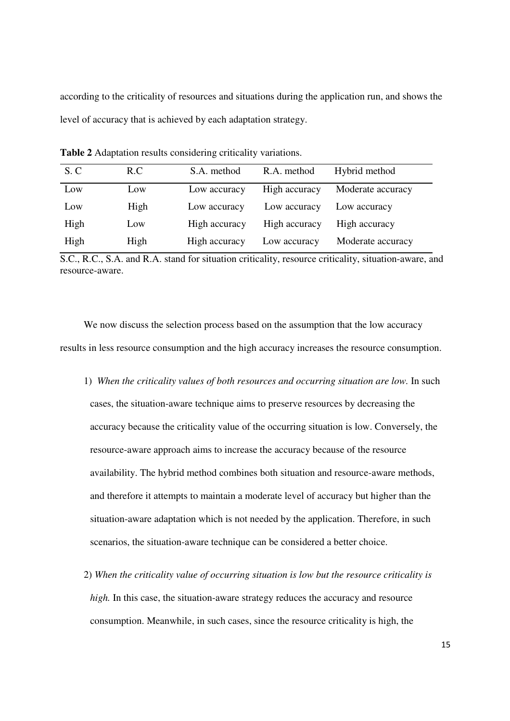according to the criticality of resources and situations during the application run, and shows the level of accuracy that is achieved by each adaptation strategy.

| S.C  | R.C  | S.A. method   | R.A. method   | Hybrid method     |
|------|------|---------------|---------------|-------------------|
| Low  | Low  | Low accuracy  | High accuracy | Moderate accuracy |
| Low  | High | Low accuracy  | Low accuracy  | Low accuracy      |
| High | Low  | High accuracy | High accuracy | High accuracy     |
| High | High | High accuracy | Low accuracy  | Moderate accuracy |

**Table 2** Adaptation results considering criticality variations.

S.C., R.C., S.A. and R.A. stand for situation criticality, resource criticality, situation-aware, and resource-aware.

We now discuss the selection process based on the assumption that the low accuracy results in less resource consumption and the high accuracy increases the resource consumption.

- 1) *When the criticality values of both resources and occurring situation are low.* In such cases, the situation-aware technique aims to preserve resources by decreasing the accuracy because the criticality value of the occurring situation is low. Conversely, the resource-aware approach aims to increase the accuracy because of the resource availability. The hybrid method combines both situation and resource-aware methods, and therefore it attempts to maintain a moderate level of accuracy but higher than the situation-aware adaptation which is not needed by the application. Therefore, in such scenarios, the situation-aware technique can be considered a better choice.
- 2) *When the criticality value of occurring situation is low but the resource criticality is high*. In this case, the situation-aware strategy reduces the accuracy and resource consumption. Meanwhile, in such cases, since the resource criticality is high, the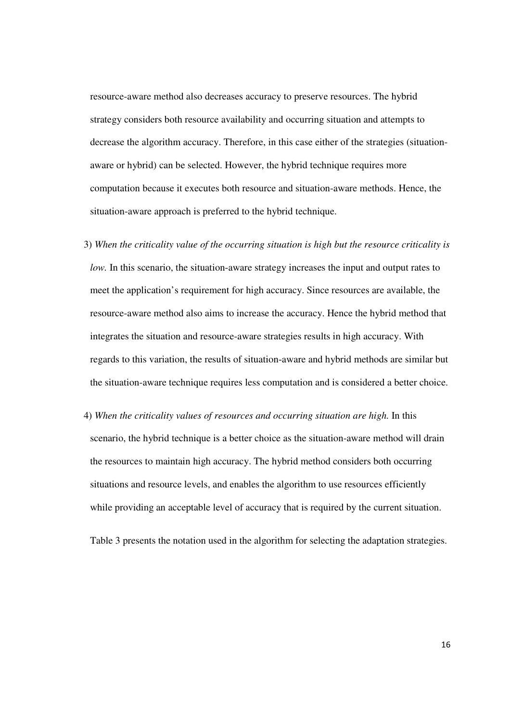resource-aware method also decreases accuracy to preserve resources. The hybrid strategy considers both resource availability and occurring situation and attempts to decrease the algorithm accuracy. Therefore, in this case either of the strategies (situationaware or hybrid) can be selected. However, the hybrid technique requires more computation because it executes both resource and situation-aware methods. Hence, the situation-aware approach is preferred to the hybrid technique.

- 3) *When the criticality value of the occurring situation is high but the resource criticality is low.* In this scenario, the situation-aware strategy increases the input and output rates to meet the application's requirement for high accuracy. Since resources are available, the resource-aware method also aims to increase the accuracy. Hence the hybrid method that integrates the situation and resource-aware strategies results in high accuracy. With regards to this variation, the results of situation-aware and hybrid methods are similar but the situation-aware technique requires less computation and is considered a better choice.
- 4) *When the criticality values of resources and occurring situation are high.* In this scenario, the hybrid technique is a better choice as the situation-aware method will drain the resources to maintain high accuracy. The hybrid method considers both occurring situations and resource levels, and enables the algorithm to use resources efficiently while providing an acceptable level of accuracy that is required by the current situation.

Table 3 presents the notation used in the algorithm for selecting the adaptation strategies.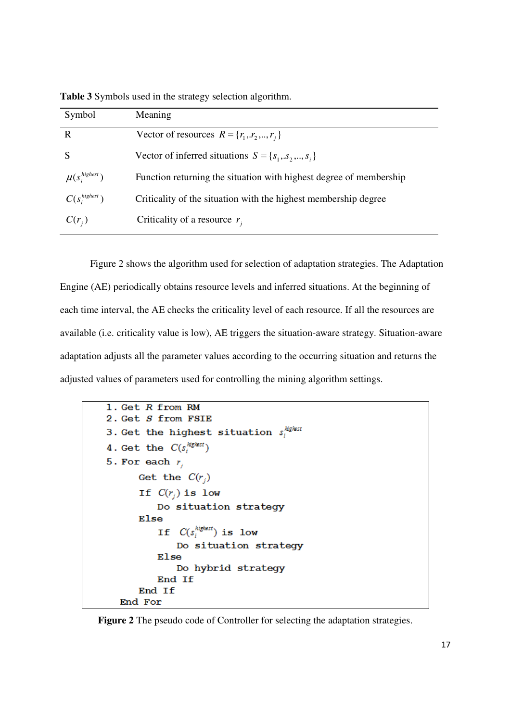**Table 3** Symbols used in the strategy selection algorithm.

| Symbol               | Meaning                                                            |
|----------------------|--------------------------------------------------------------------|
| R                    | Vector of resources $R = \{r_1, r_2, , r_i\}$                      |
|                      | Vector of inferred situations $S = \{s_1, s_2, , s_i\}$            |
| $\mu(s_i^{highest})$ | Function returning the situation with highest degree of membership |
| $C(s_i^{highest})$   | Criticality of the situation with the highest membership degree    |
| $C(r_i)$             | Criticality of a resource $r_i$                                    |

Figure 2 shows the algorithm used for selection of adaptation strategies. The Adaptation Engine (AE) periodically obtains resource levels and inferred situations. At the beginning of each time interval, the AE checks the criticality level of each resource. If all the resources are available (i.e. criticality value is low), AE triggers the situation-aware strategy. Situation-aware adaptation adjusts all the parameter values according to the occurring situation and returns the adjusted values of parameters used for controlling the mining algorithm settings.

```
1. Get R from RM
2. Get S from FSIE
3. Get the highest situation s_i^{light}4. Get the C(s_i^{higher})5. For each r_iGet the C(r_i)If C(r_i) is low
         Do situation strategy
      Else
         If C(s_i^{highest}) is low
             Do situation strategy
         Else
             Do hybrid strategy
         End If
      End If
  End For
```
**Figure 2** The pseudo code of Controller for selecting the adaptation strategies.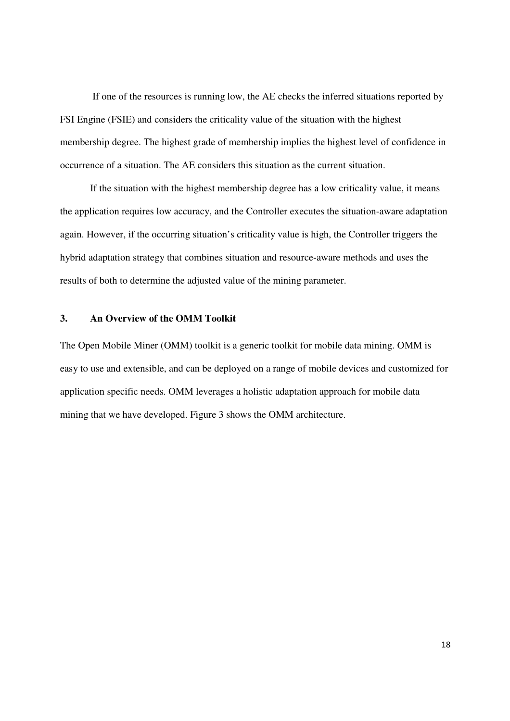If one of the resources is running low, the AE checks the inferred situations reported by FSI Engine (FSIE) and considers the criticality value of the situation with the highest membership degree. The highest grade of membership implies the highest level of confidence in occurrence of a situation. The AE considers this situation as the current situation.

If the situation with the highest membership degree has a low criticality value, it means the application requires low accuracy, and the Controller executes the situation-aware adaptation again. However, if the occurring situation's criticality value is high, the Controller triggers the hybrid adaptation strategy that combines situation and resource-aware methods and uses the results of both to determine the adjusted value of the mining parameter.

## **3. An Overview of the OMM Toolkit**

The Open Mobile Miner (OMM) toolkit is a generic toolkit for mobile data mining. OMM is easy to use and extensible, and can be deployed on a range of mobile devices and customized for application specific needs. OMM leverages a holistic adaptation approach for mobile data mining that we have developed. Figure 3 shows the OMM architecture.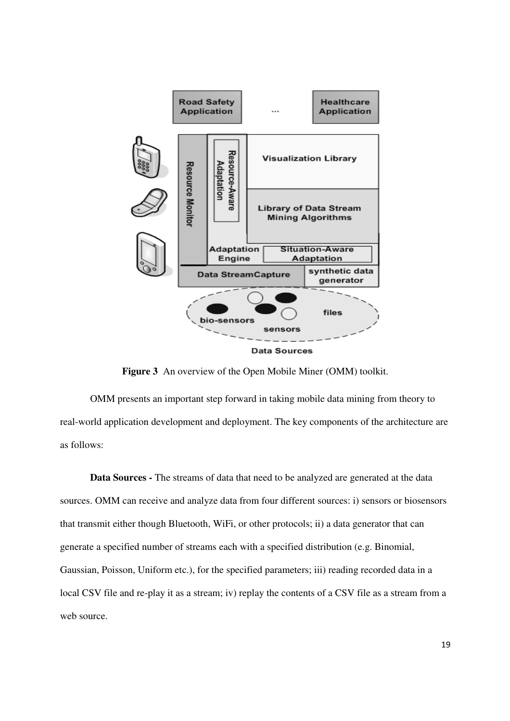

**Figure 3** An overview of the Open Mobile Miner (OMM) toolkit.

OMM presents an important step forward in taking mobile data mining from theory to real-world application development and deployment. The key components of the architecture are as follows:

**Data Sources -** The streams of data that need to be analyzed are generated at the data sources. OMM can receive and analyze data from four different sources: i) sensors or biosensors that transmit either though Bluetooth, WiFi, or other protocols; ii) a data generator that can generate a specified number of streams each with a specified distribution (e.g. Binomial, Gaussian, Poisson, Uniform etc.), for the specified parameters; iii) reading recorded data in a local CSV file and re-play it as a stream; iv) replay the contents of a CSV file as a stream from a web source.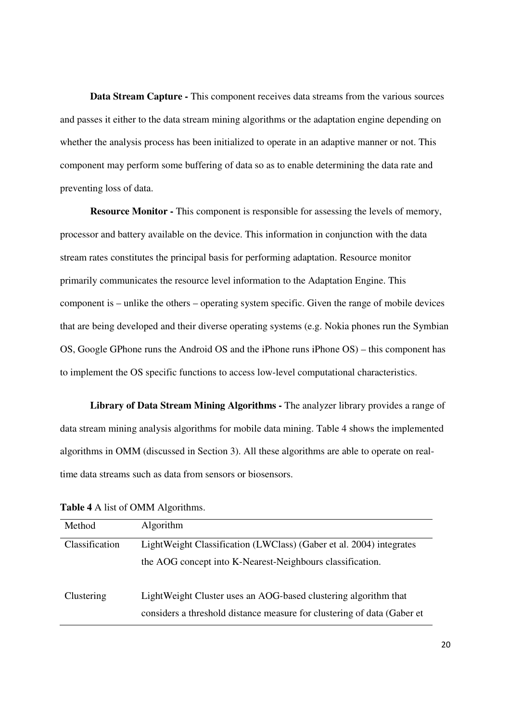**Data Stream Capture -** This component receives data streams from the various sources and passes it either to the data stream mining algorithms or the adaptation engine depending on whether the analysis process has been initialized to operate in an adaptive manner or not. This component may perform some buffering of data so as to enable determining the data rate and preventing loss of data.

**Resource Monitor -** This component is responsible for assessing the levels of memory, processor and battery available on the device. This information in conjunction with the data stream rates constitutes the principal basis for performing adaptation. Resource monitor primarily communicates the resource level information to the Adaptation Engine. This component is – unlike the others – operating system specific. Given the range of mobile devices that are being developed and their diverse operating systems (e.g. Nokia phones run the Symbian OS, Google GPhone runs the Android OS and the iPhone runs iPhone OS) – this component has to implement the OS specific functions to access low-level computational characteristics.

**Library of Data Stream Mining Algorithms -** The analyzer library provides a range of data stream mining analysis algorithms for mobile data mining. Table 4 shows the implemented algorithms in OMM (discussed in Section 3). All these algorithms are able to operate on realtime data streams such as data from sensors or biosensors.

| Method         | Algorithm                                                               |  |
|----------------|-------------------------------------------------------------------------|--|
| Classification | LightWeight Classification (LWClass) (Gaber et al. 2004) integrates     |  |
|                | the AOG concept into K-Nearest-Neighbours classification.               |  |
| Clustering     | LightWeight Cluster uses an AOG-based clustering algorithm that         |  |
|                | considers a threshold distance measure for clustering of data (Gaber et |  |

**Table 4** A list of OMM Algorithms.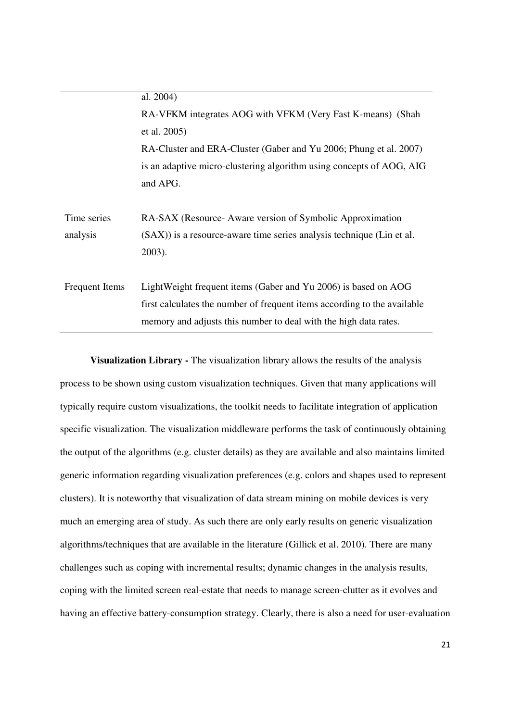|                       | al. 2004)                                                                |  |
|-----------------------|--------------------------------------------------------------------------|--|
|                       | RA-VFKM integrates AOG with VFKM (Very Fast K-means) (Shah               |  |
|                       | et al. 2005)                                                             |  |
|                       | RA-Cluster and ERA-Cluster (Gaber and Yu 2006; Phung et al. 2007)        |  |
|                       | is an adaptive micro-clustering algorithm using concepts of AOG, AIG     |  |
|                       | and APG.                                                                 |  |
|                       |                                                                          |  |
| Time series           | RA-SAX (Resource-Aware version of Symbolic Approximation                 |  |
| analysis              | (SAX)) is a resource-aware time series analysis technique (Lin et al.    |  |
|                       | $2003$ ).                                                                |  |
|                       |                                                                          |  |
| <b>Frequent Items</b> | LightWeight frequent items (Gaber and Yu 2006) is based on AOG           |  |
|                       | first calculates the number of frequent items according to the available |  |
|                       | memory and adjusts this number to deal with the high data rates.         |  |

**Visualization Library -** The visualization library allows the results of the analysis process to be shown using custom visualization techniques. Given that many applications will typically require custom visualizations, the toolkit needs to facilitate integration of application specific visualization. The visualization middleware performs the task of continuously obtaining the output of the algorithms (e.g. cluster details) as they are available and also maintains limited generic information regarding visualization preferences (e.g. colors and shapes used to represent clusters). It is noteworthy that visualization of data stream mining on mobile devices is very much an emerging area of study. As such there are only early results on generic visualization algorithms/techniques that are available in the literature (Gillick et al. 2010). There are many challenges such as coping with incremental results; dynamic changes in the analysis results, coping with the limited screen real-estate that needs to manage screen-clutter as it evolves and having an effective battery-consumption strategy. Clearly, there is also a need for user-evaluation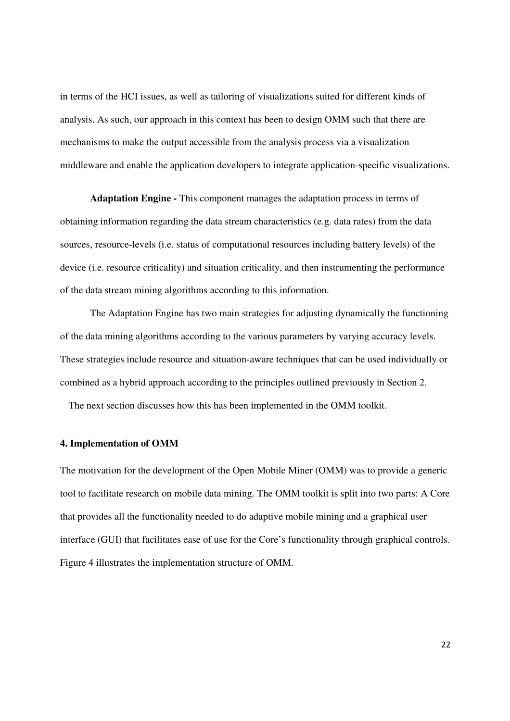in terms of the HCI issues, as well as tailoring of visualizations suited for different kinds of analysis. As such, our approach in this context has been to design OMM such that there are mechanisms to make the output accessible from the analysis process via a visualization middleware and enable the application developers to integrate application-specific visualizations.

**Adaptation Engine -** This component manages the adaptation process in terms of obtaining information regarding the data stream characteristics (e.g. data rates) from the data sources, resource-levels (i.e. status of computational resources including battery levels) of the device (i.e. resource criticality) and situation criticality, and then instrumenting the performance of the data stream mining algorithms according to this information.

The Adaptation Engine has two main strategies for adjusting dynamically the functioning of the data mining algorithms according to the various parameters by varying accuracy levels. These strategies include resource and situation-aware techniques that can be used individually or combined as a hybrid approach according to the principles outlined previously in Section 2.

The next section discusses how this has been implemented in the OMM toolkit.

#### **4. Implementation of OMM**

The motivation for the development of the Open Mobile Miner (OMM) was to provide a generic tool to facilitate research on mobile data mining. The OMM toolkit is split into two parts: A Core that provides all the functionality needed to do adaptive mobile mining and a graphical user interface (GUI) that facilitates ease of use for the Core's functionality through graphical controls. Figure 4 illustrates the implementation structure of OMM.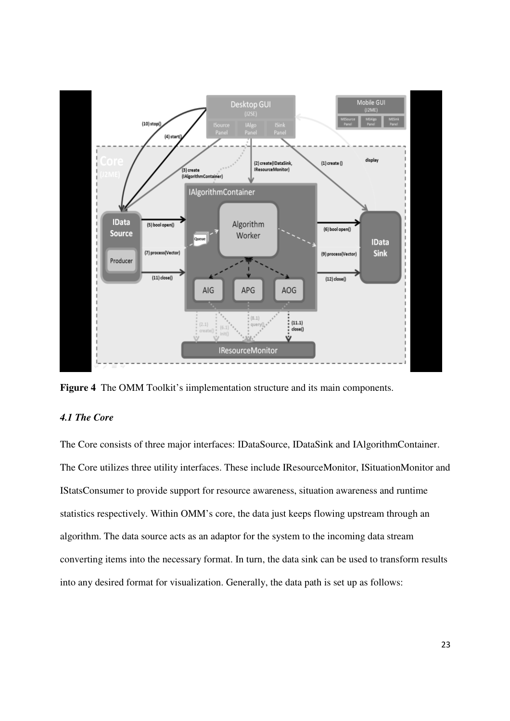

**Figure 4** The OMM Toolkit's iimplementation structure and its main components.

## *4.1 The Core*

The Core consists of three major interfaces: IDataSource, IDataSink and IAlgorithmContainer. The Core utilizes three utility interfaces. These include IResourceMonitor, ISituationMonitor and IStatsConsumer to provide support for resource awareness, situation awareness and runtime statistics respectively. Within OMM's core, the data just keeps flowing upstream through an algorithm. The data source acts as an adaptor for the system to the incoming data stream converting items into the necessary format. In turn, the data sink can be used to transform results into any desired format for visualization. Generally, the data path is set up as follows: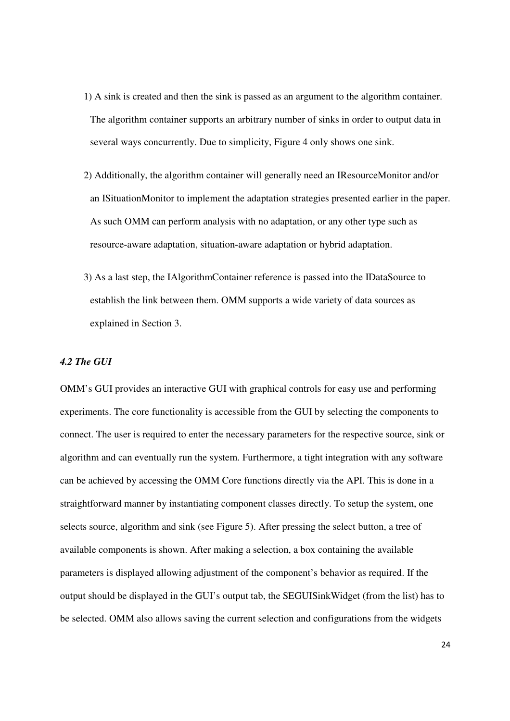- 1) A sink is created and then the sink is passed as an argument to the algorithm container. The algorithm container supports an arbitrary number of sinks in order to output data in several ways concurrently. Due to simplicity, Figure 4 only shows one sink.
- 2) Additionally, the algorithm container will generally need an IResourceMonitor and/or an ISituationMonitor to implement the adaptation strategies presented earlier in the paper. As such OMM can perform analysis with no adaptation, or any other type such as resource-aware adaptation, situation-aware adaptation or hybrid adaptation.
- 3) As a last step, the IAlgorithmContainer reference is passed into the IDataSource to establish the link between them. OMM supports a wide variety of data sources as explained in Section 3.

## *4.2 The GUI*

OMM's GUI provides an interactive GUI with graphical controls for easy use and performing experiments. The core functionality is accessible from the GUI by selecting the components to connect. The user is required to enter the necessary parameters for the respective source, sink or algorithm and can eventually run the system. Furthermore, a tight integration with any software can be achieved by accessing the OMM Core functions directly via the API. This is done in a straightforward manner by instantiating component classes directly. To setup the system, one selects source, algorithm and sink (see Figure 5). After pressing the select button, a tree of available components is shown. After making a selection, a box containing the available parameters is displayed allowing adjustment of the component's behavior as required. If the output should be displayed in the GUI's output tab, the SEGUISinkWidget (from the list) has to be selected. OMM also allows saving the current selection and configurations from the widgets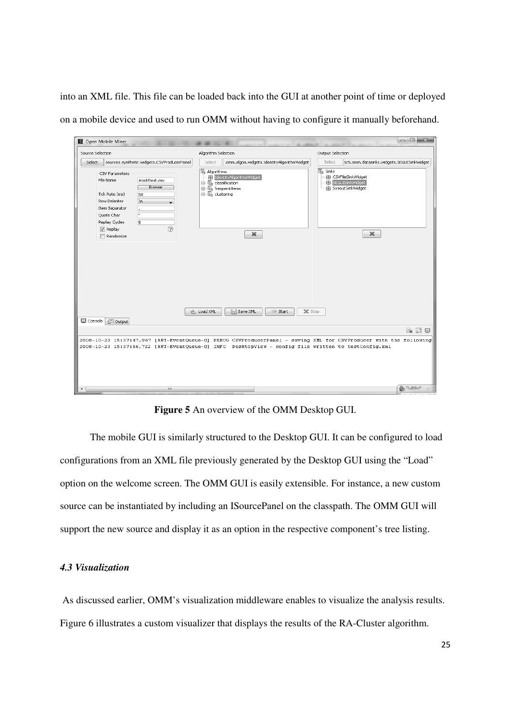into an XML file. This file can be loaded back into the GUI at another point of time or deployed on a mobile device and used to run OMM without having to configure it manually beforehand.

| $\begin{array}{c c c c c c} \hline \multicolumn{3}{c }{\mathbf{m}} & \multicolumn{3}{c }{\mathbf{m}} & \multicolumn{3}{c }{\mathbf{m}} & \multicolumn{3}{c }{\mathbf{m}} & \multicolumn{3}{c }{\mathbf{m}} & \multicolumn{3}{c }{\mathbf{m}} & \multicolumn{3}{c }{\mathbf{m}} & \multicolumn{3}{c }{\mathbf{m}} & \multicolumn{3}{c }{\mathbf{m}} & \multicolumn{3}{c }{\mathbf{m}} & \multicolumn{3}{c }{\mathbf{m}} & \multicolumn{3}{c }{\mathbf$<br>图 Open Mobile Miner |                                                                                                                             |                                                                                                             |  |  |
|------------------------------------------------------------------------------------------------------------------------------------------------------------------------------------------------------------------------------------------------------------------------------------------------------------------------------------------------------------------------------------------------------------------------------------------------------------------------------|-----------------------------------------------------------------------------------------------------------------------------|-------------------------------------------------------------------------------------------------------------|--|--|
| Source Selection                                                                                                                                                                                                                                                                                                                                                                                                                                                             | Algorithm Selection                                                                                                         | Output Selection                                                                                            |  |  |
| sources.synthetic.widgets.CSVProducerPanel<br>Select                                                                                                                                                                                                                                                                                                                                                                                                                         | .omm.algos.widgets.IdentityAlgorithmWidget<br>Select                                                                        | Select<br>ech.omm.datasinks.widgets.SEGUISinkWidget                                                         |  |  |
| CSV Parameters<br>File Name<br>/root/test.csv<br>Browse<br>Tick Rate (ms)<br>50<br>Row Delimiter<br>Îνn.<br>Item Separator<br>$\overline{\mathbf{u}}$<br>Quote Char<br>5<br>Replay Cycles<br>(2)<br>$\sqrt{ }$ Replay<br>Randomize                                                                                                                                                                                                                                           | <b>B</b> Algorithms<br>ThentityAlgorithmWidget<br>in the classification<br>由 图 frequentitems<br>由 图 clustering<br>$\bowtie$ | $\sqrt{2}$ Sinks<br><b>由 CSVFileSinkWidget</b><br>SEGUISinkWidget<br><b>+ SysoutSinkWidget</b><br>$\bowtie$ |  |  |
| C Load XML<br>阊<br>Save XML<br>Start<br>X Stop<br>国 Console<br><b>E Output</b><br>$E_{\rm R}$ at $E$<br>2008-10-23 15:37:47,967 [AWT-EventQueue-0] DEBUG CSVProducerPanel - saving XML for CSVProducer with the following<br>2008-10-23 15:37:56,722 [AWT-EventQueue-0] INFO DesktopView - config file written to testConfig.xml                                                                                                                                             |                                                                                                                             |                                                                                                             |  |  |
| $\rightarrow$<br>m.                                                                                                                                                                                                                                                                                                                                                                                                                                                          |                                                                                                                             | $\bigoplus_{n\in\mathbb{N}}\mathbb{C}_{n\times n}$                                                          |  |  |

**Figure 5** An overview of the OMM Desktop GUI.

The mobile GUI is similarly structured to the Desktop GUI. It can be configured to load configurations from an XML file previously generated by the Desktop GUI using the "Load" option on the welcome screen. The OMM GUI is easily extensible. For instance, a new custom source can be instantiated by including an ISourcePanel on the classpath. The OMM GUI will support the new source and display it as an option in the respective component's tree listing.

## *4.3 Visualization*

 As discussed earlier, OMM's visualization middleware enables to visualize the analysis results. Figure 6 illustrates a custom visualizer that displays the results of the RA-Cluster algorithm.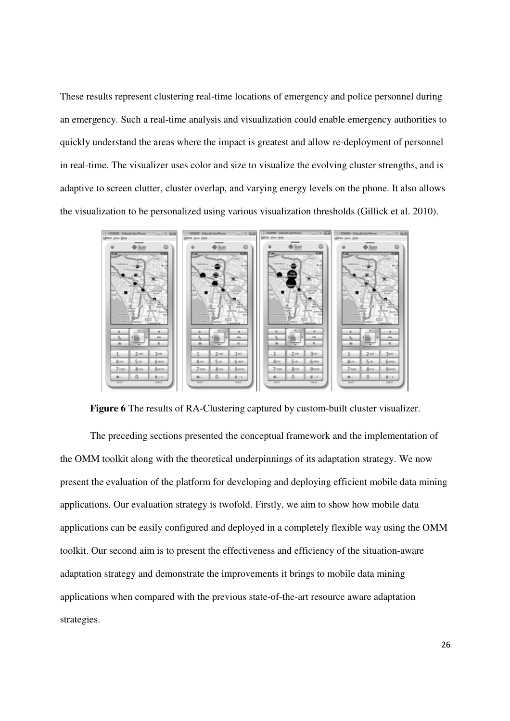These results represent clustering real-time locations of emergency and police personnel during an emergency. Such a real-time analysis and visualization could enable emergency authorities to quickly understand the areas where the impact is greatest and allow re-deployment of personnel in real-time. The visualizer uses color and size to visualize the evolving cluster strengths, and is adaptive to screen clutter, cluster overlap, and varying energy levels on the phone. It also allows the visualization to be personalized using various visualization thresholds (Gillick et al. 2010).



**Figure 6** The results of RA-Clustering captured by custom-built cluster visualizer.

The preceding sections presented the conceptual framework and the implementation of the OMM toolkit along with the theoretical underpinnings of its adaptation strategy. We now present the evaluation of the platform for developing and deploying efficient mobile data mining applications. Our evaluation strategy is twofold. Firstly, we aim to show how mobile data applications can be easily configured and deployed in a completely flexible way using the OMM toolkit. Our second aim is to present the effectiveness and efficiency of the situation-aware adaptation strategy and demonstrate the improvements it brings to mobile data mining applications when compared with the previous state-of-the-art resource aware adaptation strategies.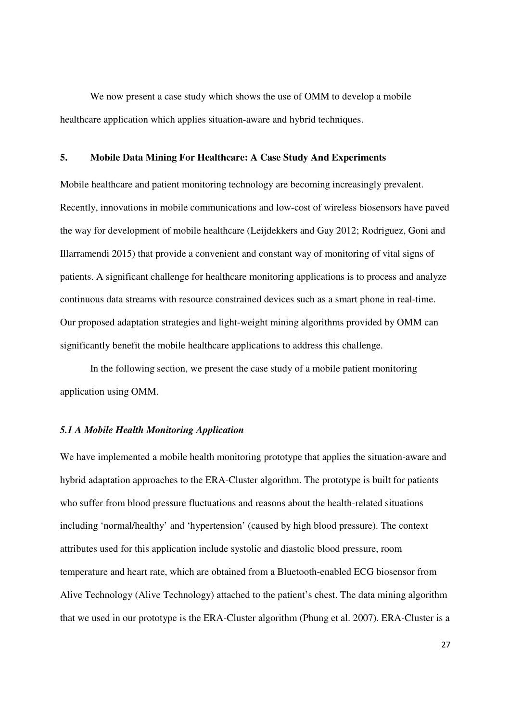We now present a case study which shows the use of OMM to develop a mobile healthcare application which applies situation-aware and hybrid techniques.

## **5. Mobile Data Mining For Healthcare: A Case Study And Experiments**

Mobile healthcare and patient monitoring technology are becoming increasingly prevalent. Recently, innovations in mobile communications and low-cost of wireless biosensors have paved the way for development of mobile healthcare (Leijdekkers and Gay 2012; Rodriguez, Goni and Illarramendi 2015) that provide a convenient and constant way of monitoring of vital signs of patients. A significant challenge for healthcare monitoring applications is to process and analyze continuous data streams with resource constrained devices such as a smart phone in real-time. Our proposed adaptation strategies and light-weight mining algorithms provided by OMM can significantly benefit the mobile healthcare applications to address this challenge.

In the following section, we present the case study of a mobile patient monitoring application using OMM.

## *5.1 A Mobile Health Monitoring Application*

We have implemented a mobile health monitoring prototype that applies the situation-aware and hybrid adaptation approaches to the ERA-Cluster algorithm. The prototype is built for patients who suffer from blood pressure fluctuations and reasons about the health-related situations including 'normal/healthy' and 'hypertension' (caused by high blood pressure). The context attributes used for this application include systolic and diastolic blood pressure, room temperature and heart rate, which are obtained from a Bluetooth-enabled ECG biosensor from Alive Technology (Alive Technology) attached to the patient's chest. The data mining algorithm that we used in our prototype is the ERA-Cluster algorithm (Phung et al. 2007). ERA-Cluster is a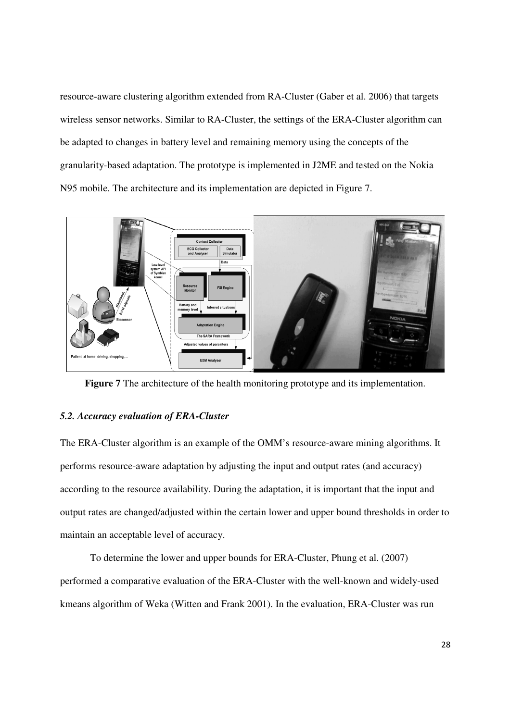resource-aware clustering algorithm extended from RA-Cluster (Gaber et al. 2006) that targets wireless sensor networks. Similar to RA-Cluster, the settings of the ERA-Cluster algorithm can be adapted to changes in battery level and remaining memory using the concepts of the granularity-based adaptation. The prototype is implemented in J2ME and tested on the Nokia N95 mobile. The architecture and its implementation are depicted in Figure 7.



**Figure 7** The architecture of the health monitoring prototype and its implementation.

## *5.2. Accuracy evaluation of ERA-Cluster*

The ERA-Cluster algorithm is an example of the OMM's resource-aware mining algorithms. It performs resource-aware adaptation by adjusting the input and output rates (and accuracy) according to the resource availability. During the adaptation, it is important that the input and output rates are changed/adjusted within the certain lower and upper bound thresholds in order to maintain an acceptable level of accuracy.

To determine the lower and upper bounds for ERA-Cluster, Phung et al. (2007) performed a comparative evaluation of the ERA-Cluster with the well-known and widely-used kmeans algorithm of Weka (Witten and Frank 2001). In the evaluation, ERA-Cluster was run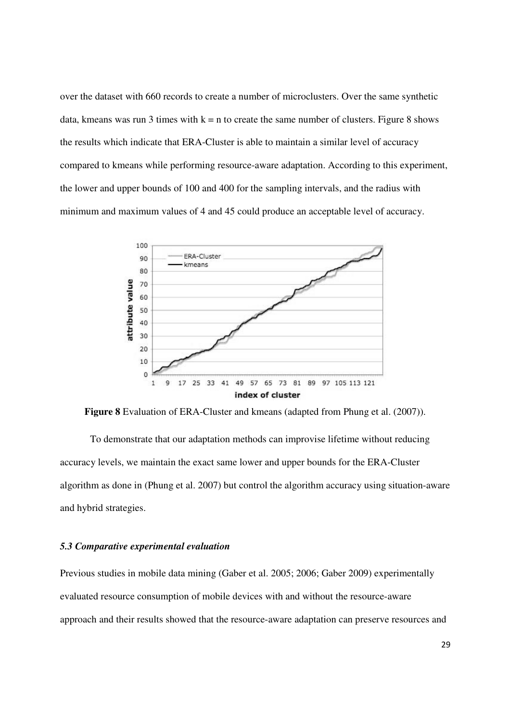over the dataset with 660 records to create a number of microclusters. Over the same synthetic data, kmeans was run 3 times with  $k = n$  to create the same number of clusters. Figure 8 shows the results which indicate that ERA-Cluster is able to maintain a similar level of accuracy compared to kmeans while performing resource-aware adaptation. According to this experiment, the lower and upper bounds of 100 and 400 for the sampling intervals, and the radius with minimum and maximum values of 4 and 45 could produce an acceptable level of accuracy.



**Figure 8** Evaluation of ERA-Cluster and kmeans (adapted from Phung et al. (2007)).

To demonstrate that our adaptation methods can improvise lifetime without reducing accuracy levels, we maintain the exact same lower and upper bounds for the ERA-Cluster algorithm as done in (Phung et al. 2007) but control the algorithm accuracy using situation-aware and hybrid strategies.

#### *5.3 Comparative experimental evaluation*

Previous studies in mobile data mining (Gaber et al. 2005; 2006; Gaber 2009) experimentally evaluated resource consumption of mobile devices with and without the resource-aware approach and their results showed that the resource-aware adaptation can preserve resources and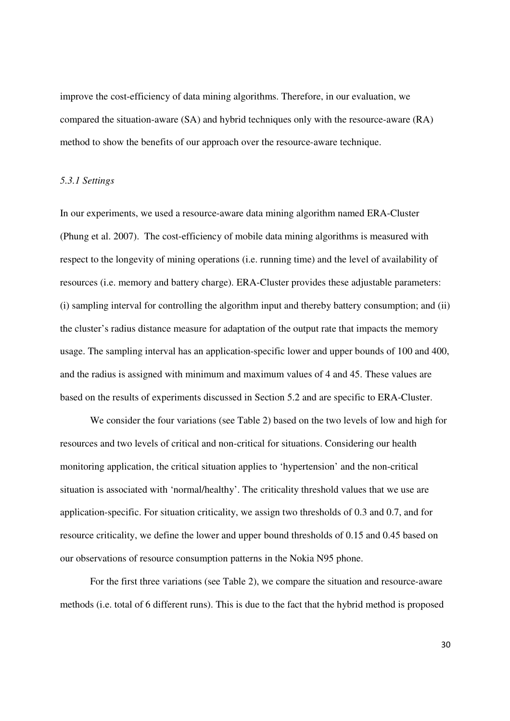improve the cost-efficiency of data mining algorithms. Therefore, in our evaluation, we compared the situation-aware (SA) and hybrid techniques only with the resource-aware (RA) method to show the benefits of our approach over the resource-aware technique.

#### *5.3.1 Settings*

In our experiments, we used a resource-aware data mining algorithm named ERA-Cluster (Phung et al. 2007). The cost-efficiency of mobile data mining algorithms is measured with respect to the longevity of mining operations (i.e. running time) and the level of availability of resources (i.e. memory and battery charge). ERA-Cluster provides these adjustable parameters: (i) sampling interval for controlling the algorithm input and thereby battery consumption; and (ii) the cluster's radius distance measure for adaptation of the output rate that impacts the memory usage. The sampling interval has an application-specific lower and upper bounds of 100 and 400, and the radius is assigned with minimum and maximum values of 4 and 45. These values are based on the results of experiments discussed in Section 5.2 and are specific to ERA-Cluster.

We consider the four variations (see Table 2) based on the two levels of low and high for resources and two levels of critical and non-critical for situations. Considering our health monitoring application, the critical situation applies to 'hypertension' and the non-critical situation is associated with 'normal/healthy'. The criticality threshold values that we use are application-specific. For situation criticality, we assign two thresholds of 0.3 and 0.7, and for resource criticality, we define the lower and upper bound thresholds of 0.15 and 0.45 based on our observations of resource consumption patterns in the Nokia N95 phone.

For the first three variations (see Table 2), we compare the situation and resource-aware methods (i.e. total of 6 different runs). This is due to the fact that the hybrid method is proposed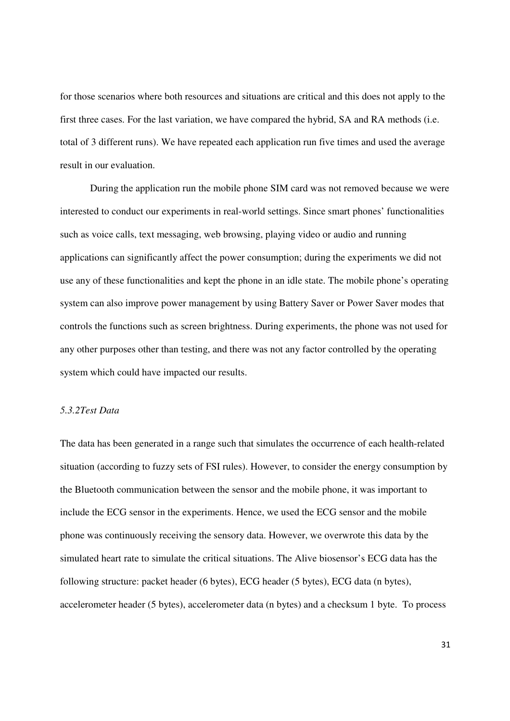for those scenarios where both resources and situations are critical and this does not apply to the first three cases. For the last variation, we have compared the hybrid, SA and RA methods (i.e. total of 3 different runs). We have repeated each application run five times and used the average result in our evaluation.

During the application run the mobile phone SIM card was not removed because we were interested to conduct our experiments in real-world settings. Since smart phones' functionalities such as voice calls, text messaging, web browsing, playing video or audio and running applications can significantly affect the power consumption; during the experiments we did not use any of these functionalities and kept the phone in an idle state. The mobile phone's operating system can also improve power management by using Battery Saver or Power Saver modes that controls the functions such as screen brightness. During experiments, the phone was not used for any other purposes other than testing, and there was not any factor controlled by the operating system which could have impacted our results.

## *5.3.2Test Data*

The data has been generated in a range such that simulates the occurrence of each health-related situation (according to fuzzy sets of FSI rules). However, to consider the energy consumption by the Bluetooth communication between the sensor and the mobile phone, it was important to include the ECG sensor in the experiments. Hence, we used the ECG sensor and the mobile phone was continuously receiving the sensory data. However, we overwrote this data by the simulated heart rate to simulate the critical situations. The Alive biosensor's ECG data has the following structure: packet header (6 bytes), ECG header (5 bytes), ECG data (n bytes), accelerometer header (5 bytes), accelerometer data (n bytes) and a checksum 1 byte. To process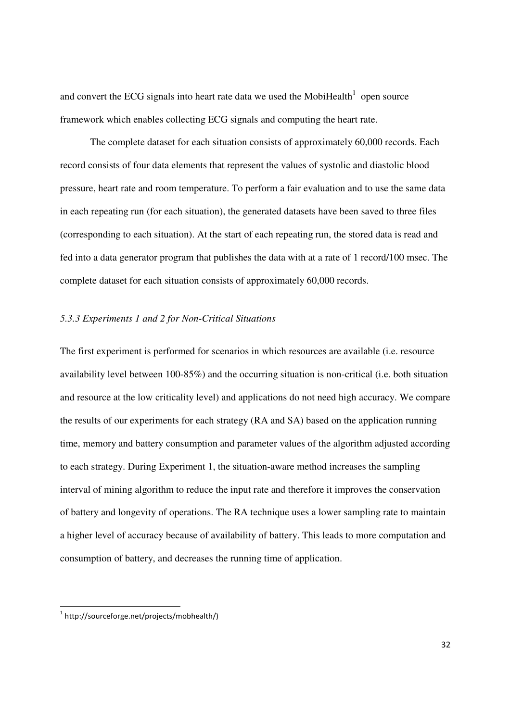and convert the ECG signals into heart rate data we used the MobiHealth $1$  open source framework which enables collecting ECG signals and computing the heart rate.

The complete dataset for each situation consists of approximately 60,000 records. Each record consists of four data elements that represent the values of systolic and diastolic blood pressure, heart rate and room temperature. To perform a fair evaluation and to use the same data in each repeating run (for each situation), the generated datasets have been saved to three files (corresponding to each situation). At the start of each repeating run, the stored data is read and fed into a data generator program that publishes the data with at a rate of 1 record/100 msec. The complete dataset for each situation consists of approximately 60,000 records.

## *5.3.3 Experiments 1 and 2 for Non-Critical Situations*

The first experiment is performed for scenarios in which resources are available (i.e. resource availability level between 100-85%) and the occurring situation is non-critical (i.e. both situation and resource at the low criticality level) and applications do not need high accuracy. We compare the results of our experiments for each strategy (RA and SA) based on the application running time, memory and battery consumption and parameter values of the algorithm adjusted according to each strategy. During Experiment 1, the situation-aware method increases the sampling interval of mining algorithm to reduce the input rate and therefore it improves the conservation of battery and longevity of operations. The RA technique uses a lower sampling rate to maintain a higher level of accuracy because of availability of battery. This leads to more computation and consumption of battery, and decreases the running time of application.

<u>.</u>

<sup>&</sup>lt;sup>1</sup> http://sourceforge.net/projects/mobhealth/)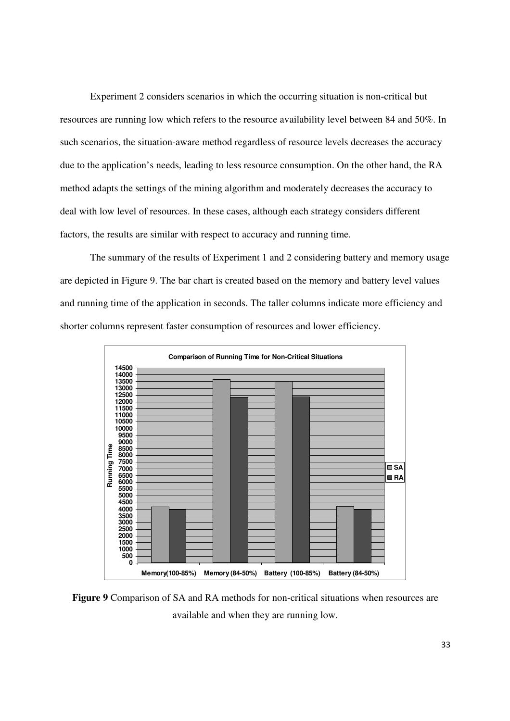Experiment 2 considers scenarios in which the occurring situation is non-critical but resources are running low which refers to the resource availability level between 84 and 50%. In such scenarios, the situation-aware method regardless of resource levels decreases the accuracy due to the application's needs, leading to less resource consumption. On the other hand, the RA method adapts the settings of the mining algorithm and moderately decreases the accuracy to deal with low level of resources. In these cases, although each strategy considers different factors, the results are similar with respect to accuracy and running time.

The summary of the results of Experiment 1 and 2 considering battery and memory usage are depicted in Figure 9. The bar chart is created based on the memory and battery level values and running time of the application in seconds. The taller columns indicate more efficiency and shorter columns represent faster consumption of resources and lower efficiency.



**Figure 9** Comparison of SA and RA methods for non-critical situations when resources are available and when they are running low.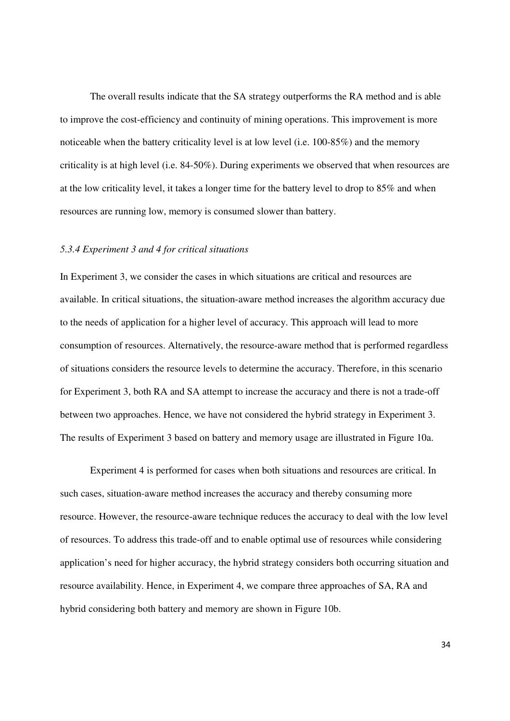The overall results indicate that the SA strategy outperforms the RA method and is able to improve the cost-efficiency and continuity of mining operations. This improvement is more noticeable when the battery criticality level is at low level (i.e. 100-85%) and the memory criticality is at high level (i.e. 84-50%). During experiments we observed that when resources are at the low criticality level, it takes a longer time for the battery level to drop to 85% and when resources are running low, memory is consumed slower than battery.

#### *5.3.4 Experiment 3 and 4 for critical situations*

In Experiment 3, we consider the cases in which situations are critical and resources are available. In critical situations, the situation-aware method increases the algorithm accuracy due to the needs of application for a higher level of accuracy. This approach will lead to more consumption of resources. Alternatively, the resource-aware method that is performed regardless of situations considers the resource levels to determine the accuracy. Therefore, in this scenario for Experiment 3, both RA and SA attempt to increase the accuracy and there is not a trade-off between two approaches. Hence, we have not considered the hybrid strategy in Experiment 3. The results of Experiment 3 based on battery and memory usage are illustrated in Figure 10a.

Experiment 4 is performed for cases when both situations and resources are critical. In such cases, situation-aware method increases the accuracy and thereby consuming more resource. However, the resource-aware technique reduces the accuracy to deal with the low level of resources. To address this trade-off and to enable optimal use of resources while considering application's need for higher accuracy, the hybrid strategy considers both occurring situation and resource availability. Hence, in Experiment 4, we compare three approaches of SA, RA and hybrid considering both battery and memory are shown in Figure 10b.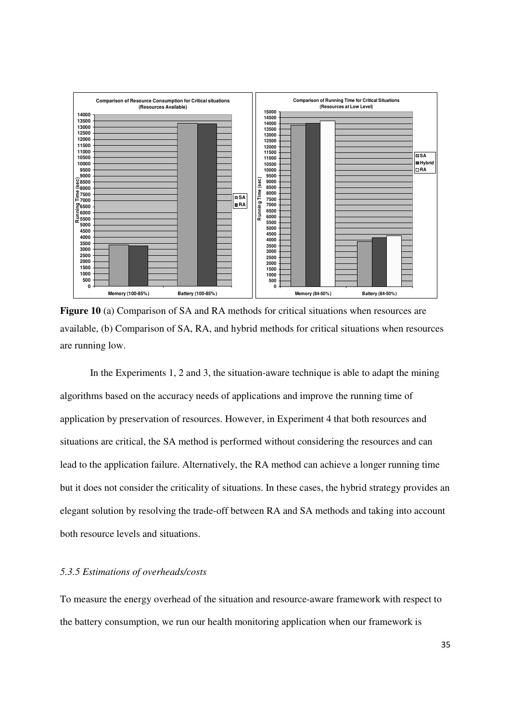

**Figure 10** (a) Comparison of SA and RA methods for critical situations when resources are available, (b) Comparison of SA, RA, and hybrid methods for critical situations when resources are running low.

In the Experiments 1, 2 and 3, the situation-aware technique is able to adapt the mining algorithms based on the accuracy needs of applications and improve the running time of application by preservation of resources. However, in Experiment 4 that both resources and situations are critical, the SA method is performed without considering the resources and can lead to the application failure. Alternatively, the RA method can achieve a longer running time but it does not consider the criticality of situations. In these cases, the hybrid strategy provides an elegant solution by resolving the trade-off between RA and SA methods and taking into account both resource levels and situations.

## *5.3.5 Estimations of overheads/costs*

To measure the energy overhead of the situation and resource-aware framework with respect to the battery consumption, we run our health monitoring application when our framework is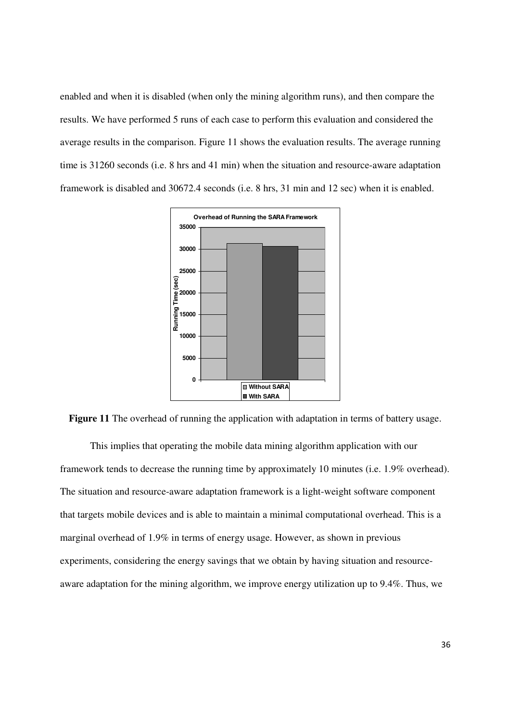enabled and when it is disabled (when only the mining algorithm runs), and then compare the results. We have performed 5 runs of each case to perform this evaluation and considered the average results in the comparison. Figure 11 shows the evaluation results. The average running time is 31260 seconds (i.e. 8 hrs and 41 min) when the situation and resource-aware adaptation framework is disabled and 30672.4 seconds (i.e. 8 hrs, 31 min and 12 sec) when it is enabled.



Figure 11 The overhead of running the application with adaptation in terms of battery usage.

This implies that operating the mobile data mining algorithm application with our framework tends to decrease the running time by approximately 10 minutes (i.e. 1.9% overhead). The situation and resource-aware adaptation framework is a light-weight software component that targets mobile devices and is able to maintain a minimal computational overhead. This is a marginal overhead of 1.9% in terms of energy usage. However, as shown in previous experiments, considering the energy savings that we obtain by having situation and resourceaware adaptation for the mining algorithm, we improve energy utilization up to 9.4%. Thus, we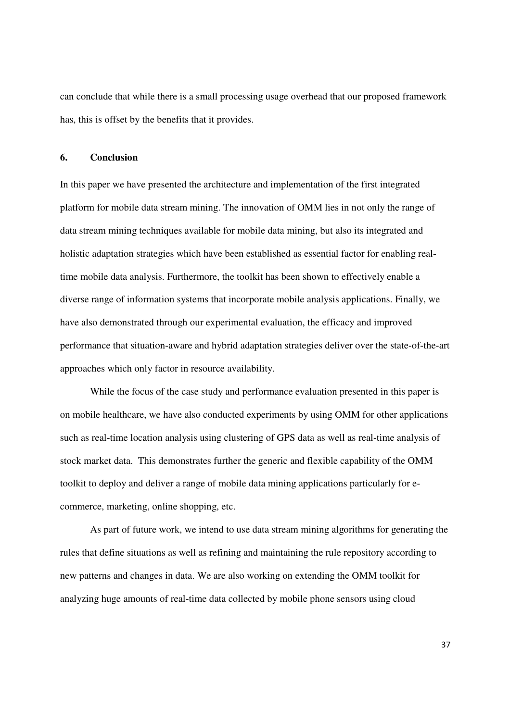can conclude that while there is a small processing usage overhead that our proposed framework has, this is offset by the benefits that it provides.

## **6. Conclusion**

In this paper we have presented the architecture and implementation of the first integrated platform for mobile data stream mining. The innovation of OMM lies in not only the range of data stream mining techniques available for mobile data mining, but also its integrated and holistic adaptation strategies which have been established as essential factor for enabling realtime mobile data analysis. Furthermore, the toolkit has been shown to effectively enable a diverse range of information systems that incorporate mobile analysis applications. Finally, we have also demonstrated through our experimental evaluation, the efficacy and improved performance that situation-aware and hybrid adaptation strategies deliver over the state-of-the-art approaches which only factor in resource availability.

While the focus of the case study and performance evaluation presented in this paper is on mobile healthcare, we have also conducted experiments by using OMM for other applications such as real-time location analysis using clustering of GPS data as well as real-time analysis of stock market data. This demonstrates further the generic and flexible capability of the OMM toolkit to deploy and deliver a range of mobile data mining applications particularly for ecommerce, marketing, online shopping, etc.

As part of future work, we intend to use data stream mining algorithms for generating the rules that define situations as well as refining and maintaining the rule repository according to new patterns and changes in data. We are also working on extending the OMM toolkit for analyzing huge amounts of real-time data collected by mobile phone sensors using cloud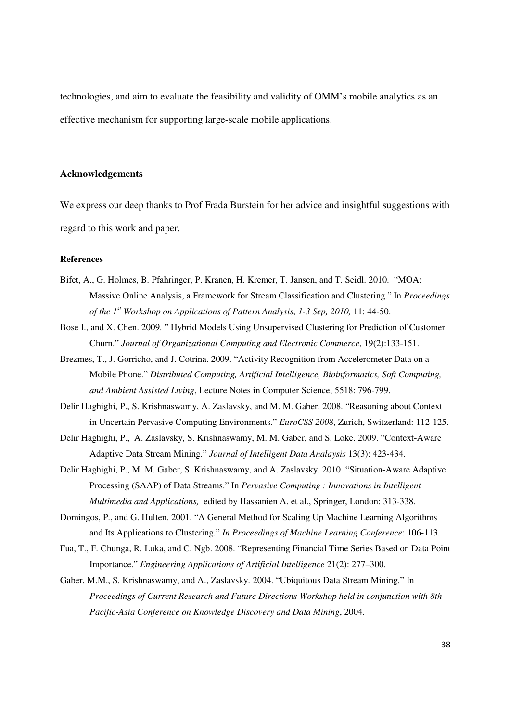technologies, and aim to evaluate the feasibility and validity of OMM's mobile analytics as an effective mechanism for supporting large-scale mobile applications.

## **Acknowledgements**

We express our deep thanks to Prof Frada Burstein for her advice and insightful suggestions with regard to this work and paper.

## **References**

- Bifet, A., G. Holmes, B. Pfahringer, P. Kranen, H. Kremer, T. Jansen, and T. Seidl. 2010. "MOA: Massive Online Analysis, a Framework for Stream Classification and Clustering." In *Proceedings of the 1st Workshop on Applications of Pattern Analysis*, *1-3 Sep, 2010,* 11: 44-50.
- Bose I., and X. Chen. 2009. " Hybrid Models Using Unsupervised Clustering for Prediction of Customer Churn." *Journal of Organizational Computing and Electronic Commerce*, 19(2):133-151.
- Brezmes, T., J. Gorricho, and J. Cotrina. 2009. "Activity Recognition from Accelerometer Data on a Mobile Phone." *Distributed Computing, Artificial Intelligence, Bioinformatics, Soft Computing, and Ambient Assisted Living*, Lecture Notes in Computer Science, 5518: 796-799.
- Delir Haghighi, P., S. Krishnaswamy, A. Zaslavsky, and M. M. Gaber. 2008. "Reasoning about Context in Uncertain Pervasive Computing Environments." *EuroCSS 2008*, Zurich, Switzerland: 112-125.
- Delir Haghighi, P., A. Zaslavsky, S. Krishnaswamy, M. M. Gaber, and S. Loke. 2009. "Context-Aware Adaptive Data Stream Mining." *Journal of Intelligent Data Analaysis* 13(3): 423-434.
- Delir Haghighi, P., M. M. Gaber, S. Krishnaswamy, and A. Zaslavsky. 2010. "Situation-Aware Adaptive Processing (SAAP) of Data Streams." In *Pervasive Computing : Innovations in Intelligent Multimedia and Applications,* edited by Hassanien A. et al., Springer, London: 313-338.
- Domingos, P., and G. Hulten. 2001. "A General Method for Scaling Up Machine Learning Algorithms and Its Applications to Clustering." *In Proceedings of Machine Learning Conference*: 106-113.
- Fua, T., F. Chunga, R. Luka, and C. Ngb. 2008. "Representing Financial Time Series Based on Data Point Importance." *Engineering Applications of Artificial Intelligence* 21(2): 277–300.
- Gaber, M.M., S. Krishnaswamy, and A., Zaslavsky. 2004. "Ubiquitous Data Stream Mining." In *Proceedings of Current Research and Future Directions Workshop held in conjunction with 8th Pacific-Asia Conference on Knowledge Discovery and Data Mining*, 2004.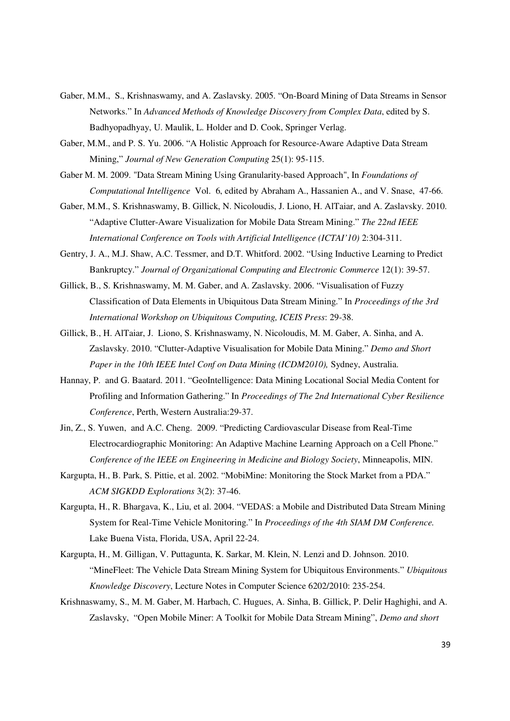- Gaber, M.M., S., Krishnaswamy, and A. Zaslavsky. 2005. "On-Board Mining of Data Streams in Sensor Networks." In *Advanced Methods of Knowledge Discovery from Complex Data*, edited by S. Badhyopadhyay, U. Maulik, L. Holder and D. Cook, Springer Verlag.
- Gaber, M.M., and P. S. Yu. 2006. "A Holistic Approach for Resource-Aware Adaptive Data Stream Mining," *Journal of New Generation Computing* 25(1): 95-115.
- Gaber M. M. 2009. "Data Stream Mining Using Granularity-based Approach", In *Foundations of Computational Intelligence* Vol. 6, edited by Abraham A., Hassanien A., and V. Snase, 47-66.
- Gaber, M.M., S. Krishnaswamy, B. Gillick, N. Nicoloudis, J. Liono, H. AlTaiar, and A. Zaslavsky. 2010. "Adaptive Clutter-Aware Visualization for Mobile Data Stream Mining." *The 22nd IEEE International Conference on Tools with Artificial Intelligence (ICTAI'10)* 2:304-311.
- Gentry, J. A., M.J. Shaw, A.C. Tessmer, and D.T. Whitford. 2002. "Using Inductive Learning to Predict Bankruptcy." *Journal of Organizational Computing and Electronic Commerce* 12(1): 39-57.
- Gillick, B., S. Krishnaswamy, M. M. Gaber, and A. Zaslavsky. 2006. "Visualisation of Fuzzy Classification of Data Elements in Ubiquitous Data Stream Mining." In *Proceedings of the 3rd International Workshop on Ubiquitous Computing, ICEIS Press*: 29-38.
- Gillick, B., H. AlTaiar, J. Liono, S. Krishnaswamy, N. Nicoloudis, M. M. Gaber, A. Sinha, and A. Zaslavsky. 2010. "Clutter-Adaptive Visualisation for Mobile Data Mining." *Demo and Short Paper in the 10th IEEE Intel Conf on Data Mining (ICDM2010),* Sydney, Australia.
- Hannay, P. and G. Baatard. 2011. "GeoIntelligence: Data Mining Locational Social Media Content for Profiling and Information Gathering." In *Proceedings of The 2nd International Cyber Resilience Conference*, Perth, Western Australia:29-37.
- Jin, Z., S. Yuwen, and A.C. Cheng. 2009. "Predicting Cardiovascular Disease from Real-Time Electrocardiographic Monitoring: An Adaptive Machine Learning Approach on a Cell Phone." *Conference of the IEEE on Engineering in Medicine and Biology Society*, Minneapolis, MIN.
- Kargupta, H., B. Park, S. Pittie, et al. 2002. "MobiMine: Monitoring the Stock Market from a PDA." *ACM SIGKDD Explorations* 3(2): 37-46.
- Kargupta, H., R. Bhargava, K., Liu, et al. 2004. "VEDAS: a Mobile and Distributed Data Stream Mining System for Real-Time Vehicle Monitoring." In *Proceedings of the 4th SIAM DM Conference.* Lake Buena Vista, Florida, USA, April 22-24.
- Kargupta, H., M. Gilligan, V. Puttagunta, K. Sarkar, M. Klein, N. Lenzi and D. Johnson. 2010. "MineFleet: The Vehicle Data Stream Mining System for Ubiquitous Environments." *Ubiquitous Knowledge Discovery*, Lecture Notes in Computer Science 6202/2010: 235-254.
- Krishnaswamy, S., M. M. Gaber, M. Harbach, C. Hugues, A. Sinha, B. Gillick, P. Delir Haghighi, and A. Zaslavsky, "Open Mobile Miner: A Toolkit for Mobile Data Stream Mining", *Demo and short*